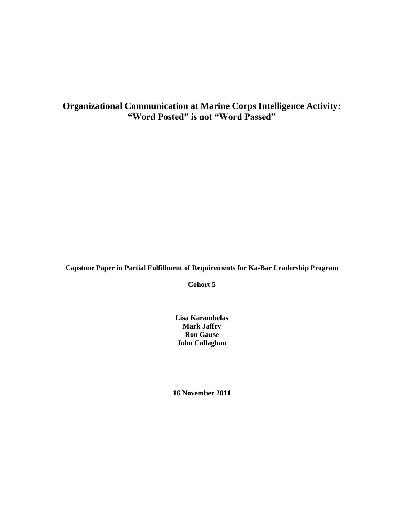# **Organizational Communication at Marine Corps Intelligence Activity: "Word Posted" is not "Word Passed"**

**Capstone Paper in Partial Fulfillment of Requirements for Ka-Bar Leadership Program**

**Cohort 5**

**Lisa Karambelas Mark Jaffry Ron Gause John Callaghan**

**16 November 2011**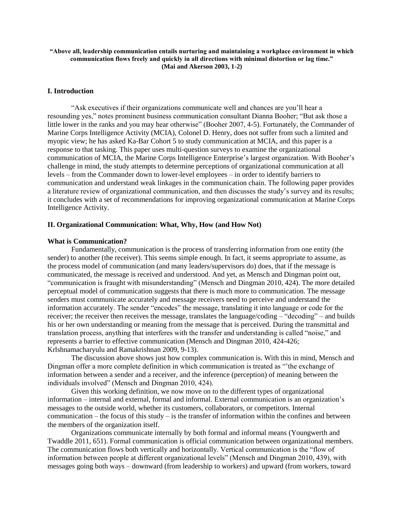### **"Above all, leadership communication entails nurturing and maintaining a workplace environment in which communication flows freely and quickly in all directions with minimal distortion or lag time." (Mai and Akerson 2003, 1-2)**

## **I. Introduction**

"Ask executives if their organizations communicate well and chances are you'll hear a resounding yes," notes prominent business communication consultant Dianna Booher; "But ask those a little lower in the ranks and you may hear otherwise" (Booher 2007, 4-5). Fortunately, the Commander of Marine Corps Intelligence Activity (MCIA), Colonel D. Henry, does not suffer from such a limited and myopic view; he has asked Ka-Bar Cohort 5 to study communication at MCIA, and this paper is a response to that tasking. This paper uses multi-question surveys to examine the organizational communication of MCIA, the Marine Corps Intelligence Enterprise's largest organization. With Booher's challenge in mind, the study attempts to determine perceptions of organizational communication at all levels – from the Commander down to lower-level employees – in order to identify barriers to communication and understand weak linkages in the communication chain. The following paper provides a literature review of organizational communication, and then discusses the study's survey and its results; it concludes with a set of recommendations for improving organizational communication at Marine Corps Intelligence Activity.

## **II. Organizational Communication: What, Why, How (and How Not)**

#### **What is Communication?**

Fundamentally, communication is the process of transferring information from one entity (the sender) to another (the receiver). This seems simple enough. In fact, it seems appropriate to assume, as the process model of communication (and many leaders/supervisors do) does, that if the message is communicated, the message is received and understood. And yet, as Mensch and Dingman point out, "communication is fraught with misunderstanding" (Mensch and Dingman 2010, 424). The more detailed perceptual model of communication suggests that there is much more to communication. The message senders must communicate accurately and message receivers need to perceive and understand the information accurately. The sender "encodes" the message, translating it into language or code for the receiver; the receiver then receives the message, translates the language/coding – "decoding" – and builds his or her own understanding or meaning from the message that is perceived. During the transmittal and translation process, anything that interferes with the transfer and understanding is called "noise," and represents a barrier to effective communication (Mensch and Dingman 2010, 424-426; Krlshnamacharyulu and Ramakrishnan 2009, 9-13).

The discussion above shows just how complex communication is. With this in mind, Mensch and Dingman offer a more complete definition in which communication is treated as "'the exchange of information between a sender and a receiver, and the inference (perception) of meaning between the individuals involved" (Mensch and Dingman 2010, 424).

Given this working definition, we now move on to the different types of organizational information – internal and external, formal and informal. External communication is an organization's messages to the outside world, whether its customers, collaborators, or competitors. Internal communication – the focus of this study – is the transfer of information within the confines and between the members of the organization itself.

Organizations communicate internally by both formal and informal means (Youngwerth and Twaddle 2011, 651). Formal communication is official communication between organizational members. The communication flows both vertically and horizontally. Vertical communication is the "flow of information between people at different organizational levels" (Mensch and Dingman 2010, 439), with messages going both ways – downward (from leadership to workers) and upward (from workers, toward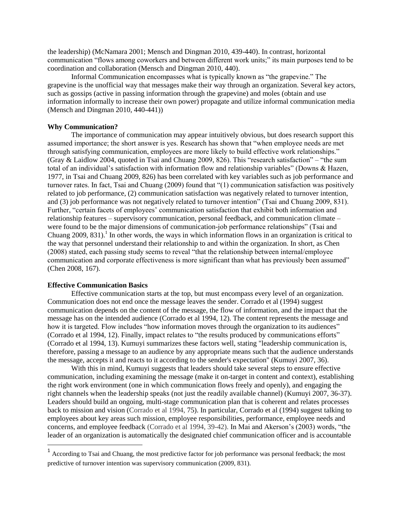the leadership) (McNamara 2001; Mensch and Dingman 2010, 439-440). In contrast, horizontal communication "flows among coworkers and between different work units;" its main purposes tend to be coordination and collaboration (Mensch and Dingman 2010, 440).

Informal Communication encompasses what is typically known as "the grapevine." The grapevine is the unofficial way that messages make their way through an organization. Several key actors, such as gossips (active in passing information through the grapevine) and moles (obtain and use information informally to increase their own power) propagate and utilize informal communication media (Mensch and Dingman 2010, 440-441))

## **Why Communication?**

The importance of communication may appear intuitively obvious, but does research support this assumed importance; the short answer is yes. Research has shown that "when employee needs are met through satisfying communication, employees are more likely to build effective work relationships." (Gray & Laidlow 2004, quoted in Tsai and Chuang 2009, 826). This "research satisfaction" – "the sum total of an individual's satisfaction with information flow and relationship variables" (Downs & Hazen, 1977, in Tsai and Chuang 2009, 826) has been correlated with key variables such as job performance and turnover rates. In fact, Tsai and Chuang (2009) found that "(1) communication satisfaction was positively related to job performance, (2) communication satisfaction was negatively related to turnover intention, and (3) job performance was not negatively related to turnover intention" (Tsai and Chuang 2009, 831). Further, "certain facets of employees' communication satisfaction that exhibit both information and relationship features – supervisory communication, personal feedback, and communication climate – were found to be the major dimensions of communication-job performance relationships" (Tsai and Chuang  $2009$ ,  $831$ ).<sup>1</sup> In other words, the ways in which information flows in an organization is critical to the way that personnel understand their relationship to and within the organization. In short, as Chen (2008) stated, each passing study seems to reveal "that the relationship between internal/employee communication and corporate effectiveness is more significant than what has previously been assumed" (Chen 2008, 167).

#### **Effective Communication Basics**

 $\overline{\phantom{a}}$ 

Effective communication starts at the top, but must encompass every level of an organization. Communication does not end once the message leaves the sender. Corrado et al (1994) suggest communication depends on the content of the message, the flow of information, and the impact that the message has on the intended audience (Corrado et al 1994, 12). The content represents the message and how it is targeted. Flow includes "how information moves through the organization to its audiences" (Corrado et al 1994, 12). Finally, impact relates to "the results produced by communications efforts" (Corrado et al 1994, 13). Kumuyi summarizes these factors well, stating "leadership communication is, therefore, passing a message to an audience by any appropriate means such that the audience understands the message, accepts it and reacts to it according to the sender's expectation" (Kumuyi 2007, 36).

With this in mind, Kumuyi suggests that leaders should take several steps to ensure effective communication, including examining the message (make it on-target in content and context), establishing the right work environment (one in which communication flows freely and openly), and engaging the right channels when the leadership speaks (not just the readily available channel) (Kumuyi 2007, 36-37). Leaders should build an ongoing, multi-stage communication plan that is coherent and relates processes back to mission and vision (Corrado et al 1994, 75). In particular, Corrado et al (1994) suggest talking to employees about key areas such mission, employee responsibilities, performance, employee needs and concerns, and employee feedback (Corrado et al 1994, 39-42). In Mai and Akerson's (2003) words, "the leader of an organization is automatically the designated chief communication officer and is accountable

<sup>&</sup>lt;sup>1</sup> According to Tsai and Chuang, the most predictive factor for job performance was personal feedback; the most predictive of turnover intention was supervisory communication (2009, 831).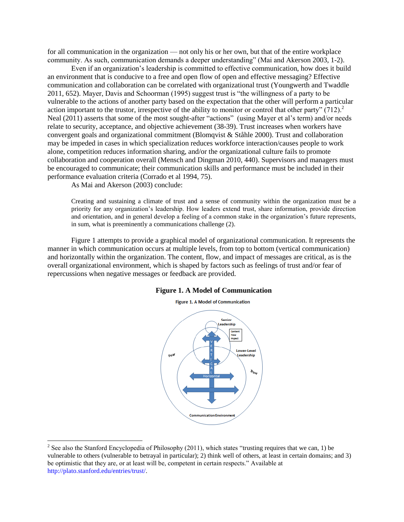for all communication in the organization — not only his or her own, but that of the entire workplace community. As such, communication demands a deeper understanding" (Mai and Akerson 2003, 1-2).

Even if an organization's leadership is committed to effective communication, how does it build an environment that is conducive to a free and open flow of open and effective messaging? Effective communication and collaboration can be correlated with organizational trust (Youngwerth and Twaddle 2011, 652). Mayer, Davis and Schoorman (1995) suggest trust is "the willingness of a party to be vulnerable to the actions of another party based on the expectation that the other will perform a particular action important to the trustor, irrespective of the ability to monitor or control that other party" (712).<sup>2</sup> Neal (2011) asserts that some of the most sought-after "actions" (using Mayer et al's term) and/or needs relate to security, acceptance, and objective achievement (38-39). Trust increases when workers have convergent goals and organizational commitment (Blomqvist & Ståhle 2000). Trust and collaboration may be impeded in cases in which specialization reduces workforce interaction/causes people to work alone, competition reduces information sharing, and/or the organizational culture fails to promote collaboration and cooperation overall (Mensch and Dingman 2010, 440). Supervisors and managers must be encouraged to communicate; their communication skills and performance must be included in their performance evaluation criteria (Corrado et al 1994, 75).

As Mai and Akerson (2003) conclude:

 $\overline{\phantom{a}}$ 

Creating and sustaining a climate of trust and a sense of community within the organization must be a priority for any organization's leadership. How leaders extend trust, share information, provide direction and orientation, and in general develop a feeling of a common stake in the organization's future represents, in sum, what is preeminently a communications challenge (2).

Figure 1 attempts to provide a graphical model of organizational communication. It represents the manner in which communication occurs at multiple levels, from top to bottom (vertical communication) and horizontally within the organization. The content, flow, and impact of messages are critical, as is the overall organizational environment, which is shaped by factors such as feelings of trust and/or fear of repercussions when negative messages or feedback are provided.

#### **Figure 1. A Model of Communication**





<sup>&</sup>lt;sup>2</sup> See also the Stanford Encyclopedia of Philosophy (2011), which states "trusting requires that we can, 1) be vulnerable to others (vulnerable to betrayal in particular); 2) think well of others, at least in certain domains; and 3) be optimistic that they are, or at least will be, competent in certain respects." Available at [http://plato.stanford.edu/entries/trust/.](http://plato.stanford.edu/entries/trust/)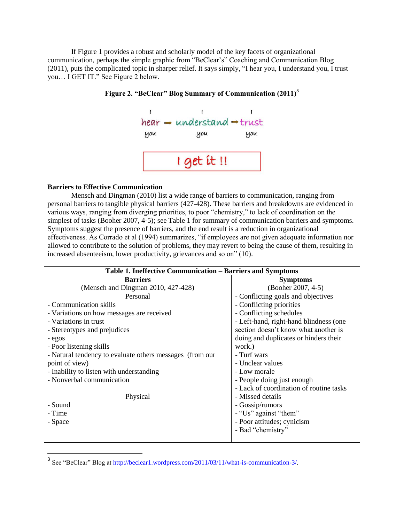If Figure 1 provides a robust and scholarly model of the key facets of organizational communication, perhaps the simple graphic from "BeClear's" Coaching and Communication Blog (2011), puts the complicated topic in sharper relief. It says simply, "I hear you, I understand you, I trust you… I GET IT." See Figure 2 below.



## **Figure 2. "BeClear" Blog Summary of Communication (2011)<sup>3</sup>**

## **Barriers to Effective Communication**

 $\overline{\phantom{a}}$ 

Mensch and Dingman (2010) list a wide range of barriers to communication, ranging from personal barriers to tangible physical barriers (427-428). These barriers and breakdowns are evidenced in various ways, ranging from diverging priorities, to poor "chemistry," to lack of coordination on the simplest of tasks (Booher 2007, 4-5); see Table 1 for summary of communication barriers and symptoms. Symptoms suggest the presence of barriers, and the end result is a reduction in organizational effectiveness. As Corrado et al (1994) summarizes, "if employees are not given adequate information nor allowed to contribute to the solution of problems, they may revert to being the cause of them, resulting in increased absenteeism, lower productivity, grievances and so on" (10).

| Table 1. Ineffective Communication – Barriers and Symptoms |                                         |  |
|------------------------------------------------------------|-----------------------------------------|--|
| <b>Barriers</b>                                            | <b>Symptoms</b>                         |  |
| (Mensch and Dingman 2010, 427-428)                         | (Booher 2007, 4-5)                      |  |
| Personal                                                   | - Conflicting goals and objectives      |  |
| - Communication skills                                     | - Conflicting priorities                |  |
| - Variations on how messages are received                  | - Conflicting schedules                 |  |
| - Variations in trust                                      | - Left-hand, right-hand blindness (one  |  |
| - Stereotypes and prejudices                               | section doesn't know what another is    |  |
| - egos                                                     | doing and duplicates or hinders their   |  |
| - Poor listening skills                                    | work.)                                  |  |
| - Natural tendency to evaluate others messages (from our)  | - Turf wars                             |  |
| point of view)                                             | - Unclear values                        |  |
| - Inability to listen with understanding                   | - Low morale                            |  |
| - Nonverbal communication                                  | - People doing just enough              |  |
|                                                            | - Lack of coordination of routine tasks |  |
| Physical                                                   | - Missed details                        |  |
| - Sound                                                    | - Gossip/rumors                         |  |
| - Time                                                     | - "Us" against "them"                   |  |
| - Space                                                    | - Poor attitudes; cynicism              |  |
|                                                            | - Bad "chemistry"                       |  |
|                                                            |                                         |  |

<sup>&</sup>lt;sup>3</sup> See "BeClear" Blog at [http://beclear1.wordpress.com/2011/03/11/what-is-communication-3/.](http://beclear1.wordpress.com/2011/03/11/what-is-communication-3/)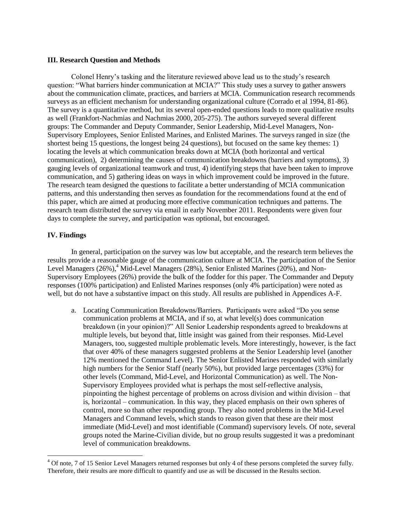## **III. Research Question and Methods**

Colonel Henry's tasking and the literature reviewed above lead us to the study's research question: "What barriers hinder communication at MCIA?" This study uses a survey to gather answers about the communication climate, practices, and barriers at MCIA. Communication research recommends surveys as an efficient mechanism for understanding organizational culture (Corrado et al 1994, 81-86). The survey is a quantitative method, but its several open-ended questions leads to more qualitative results as well (Frankfort-Nachmias and Nachmias 2000, 205-275). The authors surveyed several different groups: The Commander and Deputy Commander, Senior Leadership, Mid-Level Managers, Non-Supervisory Employees, Senior Enlisted Marines, and Enlisted Marines. The surveys ranged in size (the shortest being 15 questions, the longest being 24 questions), but focused on the same key themes: 1) locating the levels at which communication breaks down at MCIA (both horizontal and vertical communication), 2) determining the causes of communication breakdowns (barriers and symptoms), 3) gauging levels of organizational teamwork and trust, 4) identifying steps that have been taken to improve communication, and 5) gathering ideas on ways in which improvement could be improved in the future. The research team designed the questions to facilitate a better understanding of MCIA communication patterns, and this understanding then serves as foundation for the recommendations found at the end of this paper, which are aimed at producing more effective communication techniques and patterns. The research team distributed the survey via email in early November 2011. Respondents were given four days to complete the survey, and participation was optional, but encouraged.

## **IV. Findings**

 $\overline{\phantom{a}}$ 

In general, participation on the survey was low but acceptable, and the research term believes the results provide a reasonable gauge of the communication culture at MCIA. The participation of the Senior Level Managers (26%),<sup>4</sup> Mid-Level Managers (28%), Senior Enlisted Marines (20%), and Non-Supervisory Employees (26%) provide the bulk of the fodder for this paper. The Commander and Deputy responses (100% participation) and Enlisted Marines responses (only 4% participation) were noted as well, but do not have a substantive impact on this study. All results are published in Appendices A-F.

a. Locating Communication Breakdowns/Barriers. Participants were asked "Do you sense communication problems at MCIA, and if so, at what level(s) does communication breakdown (in your opinion)?" All Senior Leadership respondents agreed to breakdowns at multiple levels, but beyond that, little insight was gained from their responses. Mid-Level Managers, too, suggested multiple problematic levels. More interestingly, however, is the fact that over 40% of these managers suggested problems at the Senior Leadership level (another 12% mentioned the Command Level). The Senior Enlisted Marines responded with similarly high numbers for the Senior Staff (nearly 50%), but provided large percentages (33%) for other levels (Command, Mid-Level, and Horizontal Communication) as well. The Non-Supervisory Employees provided what is perhaps the most self-reflective analysis, pinpointing the highest percentage of problems on across division and within division – that is, horizontal – communication. In this way, they placed emphasis on their own spheres of control, more so than other responding group. They also noted problems in the Mid-Level Managers and Command levels, which stands to reason given that these are their most immediate (Mid-Level) and most identifiable (Command) supervisory levels. Of note, several groups noted the Marine-Civilian divide, but no group results suggested it was a predominant level of communication breakdowns.

 $4$  Of note, 7 of 15 Senior Level Managers returned responses but only 4 of these persons completed the survey fully. Therefore, their results are more difficult to quantify and use as will be discussed in the Results section.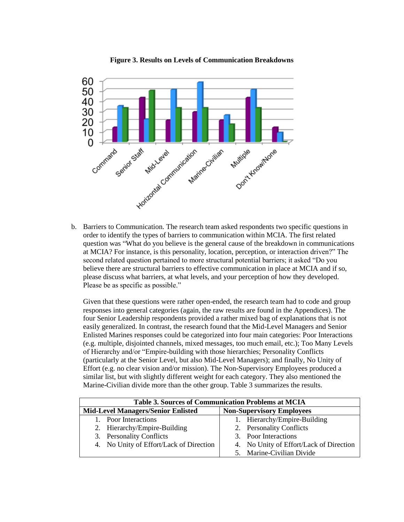

**Figure 3. Results on Levels of Communication Breakdowns**

order to identify the types of barriers to communication within MCIA. The first related question was "What do you believe is the general cause of the breakdown in communications at MCIA? For instance, is this personality, location, perception, or interaction driven?" The second related question pertained to more structural potential barriers; it asked "Do you believe there are structural barriers to effective communication in place at MCIA and if so, please discuss what barriers, at what levels, and your perception of how they developed. Please be as specific as possible."

Given that these questions were rather open-ended, the research team had to code and group responses into general categories (again, the raw results are found in the Appendices). The four Senior Leadership respondents provided a rather mixed bag of explanations that is not easily generalized. In contrast, the research found that the Mid-Level Managers and Senior Enlisted Marines responses could be categorized into four main categories: Poor Interactions (e.g. multiple, disjointed channels, mixed messages, too much email, etc.); Too Many Levels of Hierarchy and/or "Empire-building with those hierarchies; Personality Conflicts (particularly at the Senior Level, but also Mid-Level Managers); and finally, No Unity of Effort (e.g. no clear vision and/or mission). The Non-Supervisory Employees produced a similar list, but with slightly different weight for each category. They also mentioned the Marine-Civilian divide more than the other group. Table 3 summarizes the results.

| <b>Table 3. Sources of Communication Problems at MCIA</b> |                                         |  |
|-----------------------------------------------------------|-----------------------------------------|--|
| <b>Mid-Level Managers/Senior Enlisted</b>                 | <b>Non-Supervisory Employees</b>        |  |
| 1. Poor Interactions                                      | 1. Hierarchy/Empire-Building            |  |
| 2. Hierarchy/Empire-Building                              | 2. Personality Conflicts                |  |
| 3. Personality Conflicts                                  | 3. Poor Interactions                    |  |
| 4. No Unity of Effort/Lack of Direction                   | 4. No Unity of Effort/Lack of Direction |  |
|                                                           | 5. Marine-Civilian Divide               |  |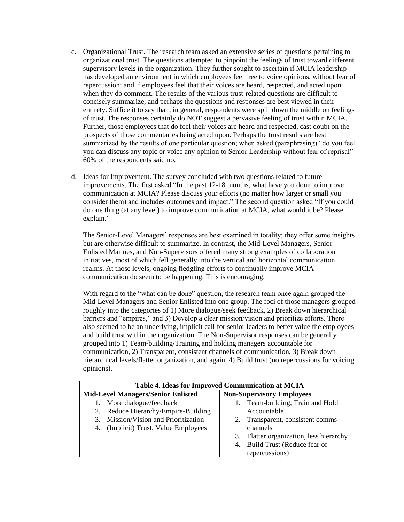- c. Organizational Trust. The research team asked an extensive series of questions pertaining to organizational trust. The questions attempted to pinpoint the feelings of trust toward different supervisory levels in the organization. They further sought to ascertain if MCIA leadership has developed an environment in which employees feel free to voice opinions, without fear of repercussion; and if employees feel that their voices are heard, respected, and acted upon when they do comment. The results of the various trust-related questions are difficult to concisely summarize, and perhaps the questions and responses are best viewed in their entirety. Suffice it to say that , in general, respondents were split down the middle on feelings of trust. The responses certainly do NOT suggest a pervasive feeling of trust within MCIA. Further, those employees that do feel their voices are heard and respected, cast doubt on the prospects of those commentaries being acted upon. Perhaps the trust results are best summarized by the results of one particular question; when asked (paraphrasing) "do you feel you can discuss any topic or voice any opinion to Senior Leadership without fear of reprisal" 60% of the respondents said no.
- d. Ideas for Improvement. The survey concluded with two questions related to future improvements. The first asked "In the past 12-18 months, what have you done to improve communication at MCIA? Please discuss your efforts (no matter how larger or small you consider them) and includes outcomes and impact." The second question asked "If you could do one thing (at any level) to improve communication at MCIA, what would it be? Please explain."

The Senior-Level Managers' responses are best examined in totality; they offer some insights but are otherwise difficult to summarize. In contrast, the Mid-Level Managers, Senior Enlisted Marines, and Non-Supervisors offered many strong examples of collaboration initiatives, most of which fell generally into the vertical and horizontal communication realms. At those levels, ongoing fledgling efforts to continually improve MCIA communication do seem to be happening. This is encouraging.

With regard to the "what can be done" question, the research team once again grouped the Mid-Level Managers and Senior Enlisted into one group. The foci of those managers grouped roughly into the categories of 1) More dialogue/seek feedback, 2) Break down hierarchical barriers and "empires," and 3) Develop a clear mission/vision and prioritize efforts. There also seemed to be an underlying, implicit call for senior leaders to better value the employees and build trust within the organization. The Non-Supervisor responses can be generally grouped into 1) Team-building/Training and holding managers accountable for communication, 2) Transparent, consistent channels of communication, 3) Break down hierarchical levels/flatter organization, and again, 4) Build trust (no repercussions for voicing opinions).

| Table 4. Ideas for Improved Communication at MCIA |                                            |  |
|---------------------------------------------------|--------------------------------------------|--|
| <b>Mid-Level Managers/Senior Enlisted</b>         | <b>Non-Supervisory Employees</b>           |  |
| More dialogue/feedback<br>1.                      | 1. Team-building, Train and Hold           |  |
| 2. Reduce Hierarchy/Empire-Building               | Accountable                                |  |
| Mission/Vision and Prioritization<br>3.           | 2. Transparent, consistent comms           |  |
| (Implicit) Trust, Value Employees<br>4.           | channels                                   |  |
|                                                   | Flatter organization, less hierarchy<br>3. |  |
|                                                   | Build Trust (Reduce fear of<br>4.          |  |
|                                                   | repercussions)                             |  |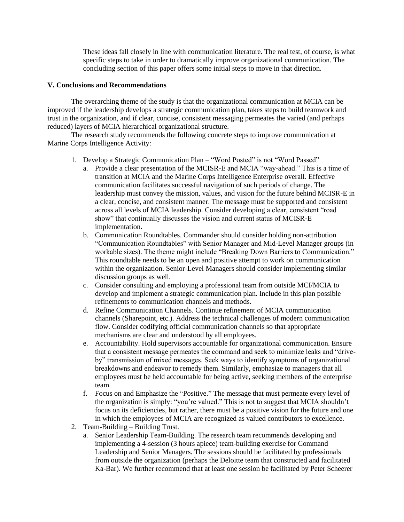These ideas fall closely in line with communication literature. The real test, of course, is what specific steps to take in order to dramatically improve organizational communication. The concluding section of this paper offers some initial steps to move in that direction.

## **V. Conclusions and Recommendations**

The overarching theme of the study is that the organizational communication at MCIA can be improved if the leadership develops a strategic communication plan, takes steps to build teamwork and trust in the organization, and if clear, concise, consistent messaging permeates the varied (and perhaps reduced) layers of MCIA hierarchical organizational structure.

The research study recommends the following concrete steps to improve communication at Marine Corps Intelligence Activity:

- 1. Develop a Strategic Communication Plan "Word Posted" is not "Word Passed"
	- a. Provide a clear presentation of the MCISR-E and MCIA "way-ahead." This is a time of transition at MCIA and the Marine Corps Intelligence Enterprise overall. Effective communication facilitates successful navigation of such periods of change. The leadership must convey the mission, values, and vision for the future behind MCISR-E in a clear, concise, and consistent manner. The message must be supported and consistent across all levels of MCIA leadership. Consider developing a clear, consistent "road show" that continually discusses the vision and current status of MCISR-E implementation.
	- b. Communication Roundtables. Commander should consider holding non-attribution "Communication Roundtables" with Senior Manager and Mid-Level Manager groups (in workable sizes). The theme might include "Breaking Down Barriers to Communication." This roundtable needs to be an open and positive attempt to work on communication within the organization. Senior-Level Managers should consider implementing similar discussion groups as well.
	- c. Consider consulting and employing a professional team from outside MCI/MCIA to develop and implement a strategic communication plan. Include in this plan possible refinements to communication channels and methods.
	- d. Refine Communication Channels. Continue refinement of MCIA communication channels (Sharepoint, etc.). Address the technical challenges of modern communication flow. Consider codifying official communication channels so that appropriate mechanisms are clear and understood by all employees.
	- e. Accountability. Hold supervisors accountable for organizational communication. Ensure that a consistent message permeates the command and seek to minimize leaks and "driveby" transmission of mixed messages. Seek ways to identify symptoms of organizational breakdowns and endeavor to remedy them. Similarly, emphasize to managers that all employees must be held accountable for being active, seeking members of the enterprise team.
	- f. Focus on and Emphasize the "Positive." The message that must permeate every level of the organization is simply: "you're valued." This is not to suggest that MCIA shouldn't focus on its deficiencies, but rather, there must be a positive vision for the future and one in which the employees of MCIA are recognized as valued contributors to excellence.
- 2. Team-Building Building Trust.
	- a. Senior Leadership Team-Building. The research team recommends developing and implementing a 4-session (3 hours apiece) team-building exercise for Command Leadership and Senior Managers. The sessions should be facilitated by professionals from outside the organization (perhaps the Deloitte team that constructed and facilitated Ka-Bar). We further recommend that at least one session be facilitated by Peter Scheerer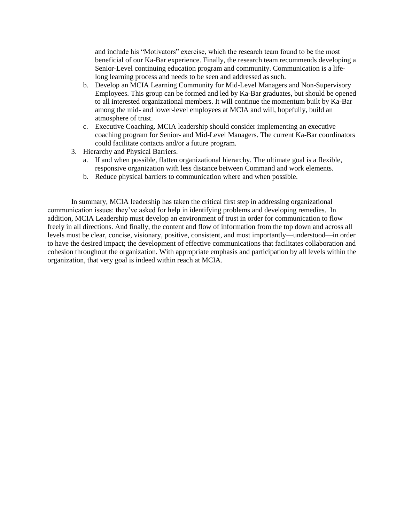and include his "Motivators" exercise, which the research team found to be the most beneficial of our Ka-Bar experience. Finally, the research team recommends developing a Senior-Level continuing education program and community. Communication is a lifelong learning process and needs to be seen and addressed as such.

- b. Develop an MCIA Learning Community for Mid-Level Managers and Non-Supervisory Employees. This group can be formed and led by Ka-Bar graduates, but should be opened to all interested organizational members. It will continue the momentum built by Ka-Bar among the mid- and lower-level employees at MCIA and will, hopefully, build an atmosphere of trust.
- c. Executive Coaching. MCIA leadership should consider implementing an executive coaching program for Senior- and Mid-Level Managers. The current Ka-Bar coordinators could facilitate contacts and/or a future program.
- 3. Hierarchy and Physical Barriers.
	- a. If and when possible, flatten organizational hierarchy. The ultimate goal is a flexible, responsive organization with less distance between Command and work elements.
	- b. Reduce physical barriers to communication where and when possible.

In summary, MCIA leadership has taken the critical first step in addressing organizational communication issues: they've asked for help in identifying problems and developing remedies. In addition, MCIA Leadership must develop an environment of trust in order for communication to flow freely in all directions. And finally, the content and flow of information from the top down and across all levels must be clear, concise, visionary, positive, consistent, and most importantly—understood—in order to have the desired impact; the development of effective communications that facilitates collaboration and cohesion throughout the organization. With appropriate emphasis and participation by all levels within the organization, that very goal is indeed within reach at MCIA.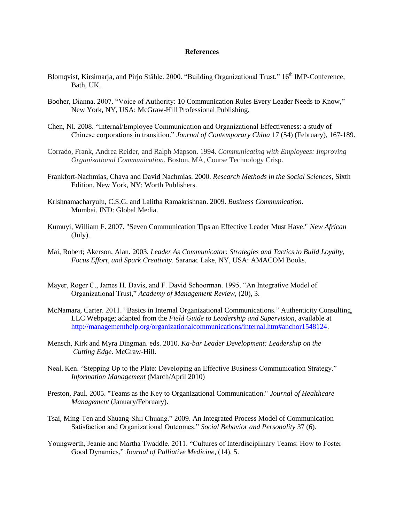#### **References**

- Blomqvist, Kirsimarja, and Pirjo Ståhle. 2000. "Building Organizational Trust," 16<sup>th</sup> IMP-Conference, Bath, UK.
- Booher, Dianna. 2007. "Voice of Authority: 10 Communication Rules Every Leader Needs to Know," New York, NY, USA: McGraw-Hill Professional Publishing.
- Chen, Ni. 2008. "Internal/Employee Communication and Organizational Effectiveness: a study of Chinese corporations in transition." *Journal of Contemporary China* 17 (54) (February), 167-189.
- Corrado, Frank, Andrea Reider, and Ralph Mapson. 1994. *Communicating with Employees: Improving Organizational Communication*. Boston, MA, Course Technology Crisp.
- Frankfort-Nachmias, Chava and David Nachmias. 2000. *Research Methods in the Social Sciences*, Sixth Edition. New York, NY: Worth Publishers.
- Krlshnamacharyulu, C.S.G. and Lalitha Ramakrishnan. 2009. *Business Communication*. Mumbai, IND: Global Media.
- Kumuyi, William F. 2007. "Seven Communication Tips an Effective Leader Must Have." *New African* (July).
- Mai, Robert; Akerson, Alan. 2003*. Leader As Communicator: Strategies and Tactics to Build Loyalty, Focus Effort, and Spark Creativity*. Saranac Lake, NY, USA: AMACOM Books.
- Mayer, Roger C., James H. Davis, and F. David Schoorman. 1995. "An Integrative Model of Organizational Trust," *Academy of Management Review*, (20), 3.
- McNamara, Carter. 2011. "Basics in Internal Organizational Communications." Authenticity Consulting, LLC Webpage; adapted from the *Field Guide to Leadership and Supervision*, available at [http://managementhelp.org/organizationalcommunications/internal.htm#anchor1548124.](http://managementhelp.org/organizationalcommunications/internal.htm#anchor1548124)
- Mensch, Kirk and Myra Dingman. eds. 2010. *Ka-bar Leader Development: Leadership on the Cutting Edge*. McGraw-Hill.
- Neal, Ken. "Stepping Up to the Plate: Developing an Effective Business Communication Strategy." *Information Management* (March/April 2010)
- Preston, Paul. 2005. "Teams as the Key to Organizational Communication." *Journal of Healthcare Management* (January/February).
- Tsai, Ming-Ten and Shuang-Shii Chuang." 2009. An Integrated Process Model of Communication Satisfaction and Organizational Outcomes." *Social Behavior and Personality* 37 (6).
- Youngwerth, Jeanie and Martha Twaddle. 2011. "Cultures of Interdisciplinary Teams: How to Foster Good Dynamics," *Journal of Palliative Medicine*, (14), 5.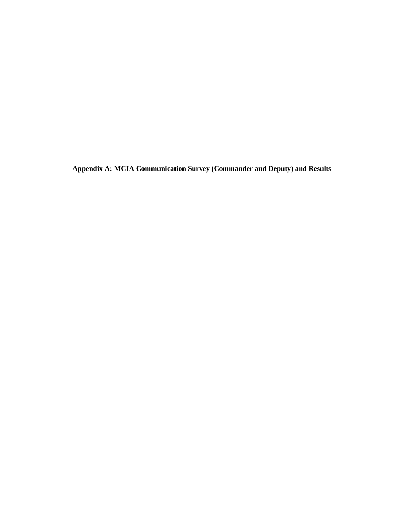**Appendix A: MCIA Communication Survey (Commander and Deputy) and Results**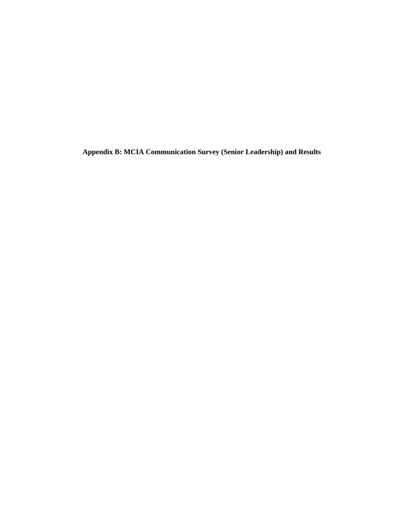**Appendix B: MCIA Communication Survey (Senior Leadership) and Results**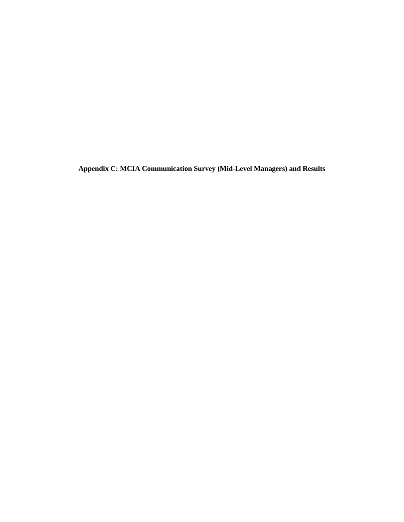**Appendix C: MCIA Communication Survey (Mid-Level Managers) and Results**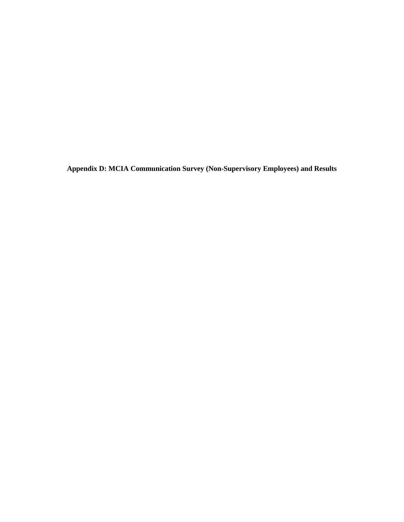**Appendix D: MCIA Communication Survey (Non-Supervisory Employees) and Results**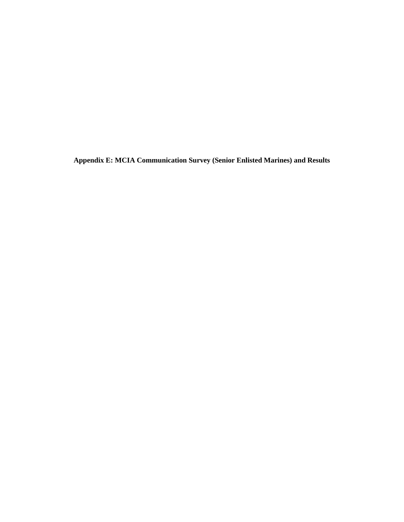**Appendix E: MCIA Communication Survey (Senior Enlisted Marines) and Results**